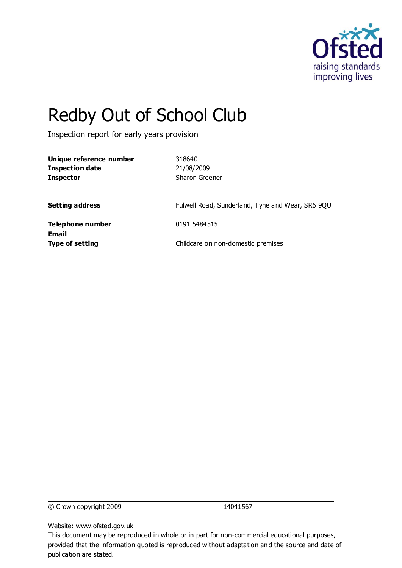

# Redby Out of School Club

Inspection report for early years provision

| Unique reference number<br><b>Inspection date</b><br><b>Inspector</b> | 318640<br>21/08/2009<br>Sharon Greener           |
|-----------------------------------------------------------------------|--------------------------------------------------|
| <b>Setting address</b>                                                | Fulwell Road, Sunderland, Tyne and Wear, SR6 9QU |
| Telephone number<br>Email                                             | 0191 5484515                                     |
| <b>Type of setting</b>                                                | Childcare on non-domestic premises               |

© Crown copyright 2009 14041567

Website: www.ofsted.gov.uk

This document may be reproduced in whole or in part for non-commercial educational purposes, provided that the information quoted is reproduced without adaptation and the source and date of publication are stated.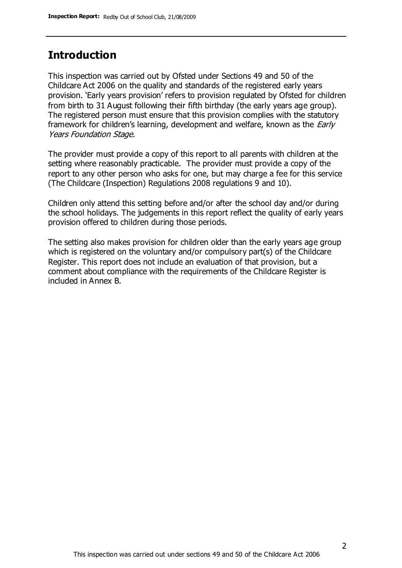#### **Introduction**

This inspection was carried out by Ofsted under Sections 49 and 50 of the Childcare Act 2006 on the quality and standards of the registered early years provision. 'Early years provision' refers to provision regulated by Ofsted for children from birth to 31 August following their fifth birthday (the early years age group). The registered person must ensure that this provision complies with the statutory framework for children's learning, development and welfare, known as the *Early* Years Foundation Stage.

The provider must provide a copy of this report to all parents with children at the setting where reasonably practicable. The provider must provide a copy of the report to any other person who asks for one, but may charge a fee for this service (The Childcare (Inspection) Regulations 2008 regulations 9 and 10).

Children only attend this setting before and/or after the school day and/or during the school holidays. The judgements in this report reflect the quality of early years provision offered to children during those periods.

The setting also makes provision for children older than the early years age group which is registered on the voluntary and/or compulsory part(s) of the Childcare Register. This report does not include an evaluation of that provision, but a comment about compliance with the requirements of the Childcare Register is included in Annex B.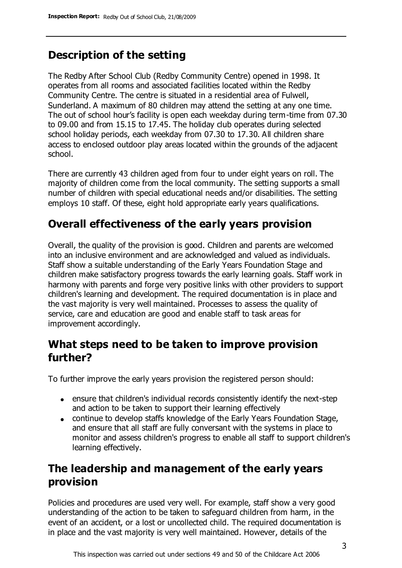# **Description of the setting**

The Redby After School Club (Redby Community Centre) opened in 1998. It operates from all rooms and associated facilities located within the Redby Community Centre. The centre is situated in a residential area of Fulwell, Sunderland. A maximum of 80 children may attend the setting at any one time. The out of school hour's facility is open each weekday during term-time from 07.30 to 09.00 and from 15.15 to 17.45. The holiday club operates during selected school holiday periods, each weekday from 07.30 to 17.30. All children share access to enclosed outdoor play areas located within the grounds of the adjacent school.

There are currently 43 children aged from four to under eight years on roll. The majority of children come from the local community. The setting supports a small number of children with special educational needs and/or disabilities. The setting employs 10 staff. Of these, eight hold appropriate early years qualifications.

### **Overall effectiveness of the early years provision**

Overall, the quality of the provision is good. Children and parents are welcomed into an inclusive environment and are acknowledged and valued as individuals. Staff show a suitable understanding of the Early Years Foundation Stage and children make satisfactory progress towards the early learning goals. Staff work in harmony with parents and forge very positive links with other providers to support children's learning and development. The required documentation is in place and the vast majority is very well maintained. Processes to assess the quality of service, care and education are good and enable staff to task areas for improvement accordingly.

#### **What steps need to be taken to improve provision further?**

To further improve the early years provision the registered person should:

- ensure that children's individual records consistently identify the next-step and action to be taken to support their learning effectively
- continue to develop staffs knowledge of the Early Years Foundation Stage, and ensure that all staff are fully conversant with the systems in place to monitor and assess children's progress to enable all staff to support children's learning effectively.

# **The leadership and management of the early years provision**

Policies and procedures are used very well. For example, staff show a very good understanding of the action to be taken to safeguard children from harm, in the event of an accident, or a lost or uncollected child. The required documentation is in place and the vast majority is very well maintained. However, details of the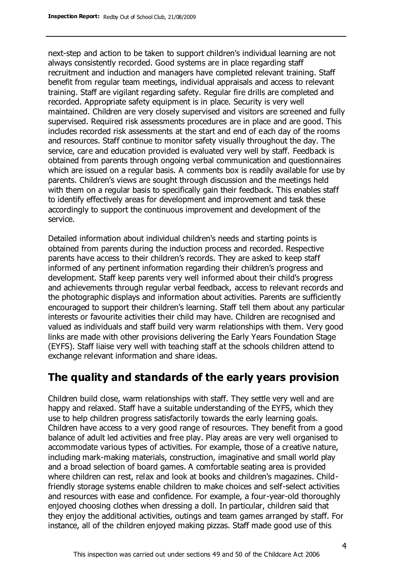next-step and action to be taken to support children's individual learning are not always consistently recorded. Good systems are in place regarding staff recruitment and induction and managers have completed relevant training. Staff benefit from regular team meetings, individual appraisals and access to relevant training. Staff are vigilant regarding safety. Regular fire drills are completed and recorded. Appropriate safety equipment is in place. Security is very well maintained. Children are very closely supervised and visitors are screened and fully supervised. Required risk assessments procedures are in place and are good. This includes recorded risk assessments at the start and end of each day of the rooms and resources. Staff continue to monitor safety visually throughout the day. The service, care and education provided is evaluated very well by staff. Feedback is obtained from parents through ongoing verbal communication and questionnaires which are issued on a regular basis. A comments box is readily available for use by parents. Children's views are sought through discussion and the meetings held with them on a regular basis to specifically gain their feedback. This enables staff to identify effectively areas for development and improvement and task these accordingly to support the continuous improvement and development of the service.

Detailed information about individual children's needs and starting points is obtained from parents during the induction process and recorded. Respective parents have access to their children's records. They are asked to keep staff informed of any pertinent information regarding their children's progress and development. Staff keep parents very well informed about their child's progress and achievements through regular verbal feedback, access to relevant records and the photographic displays and information about activities. Parents are sufficiently encouraged to support their children's learning. Staff tell them about any particular interests or favourite activities their child may have. Children are recognised and valued as individuals and staff build very warm relationships with them. Very good links are made with other provisions delivering the Early Years Foundation Stage (EYFS). Staff liaise very well with teaching staff at the schools children attend to exchange relevant information and share ideas.

# **The quality and standards of the early years provision**

Children build close, warm relationships with staff. They settle very well and are happy and relaxed. Staff have a suitable understanding of the EYFS, which they use to help children progress satisfactorily towards the early learning goals. Children have access to a very good range of resources. They benefit from a good balance of adult led activities and free play. Play areas are very well organised to accommodate various types of activities. For example, those of a creative nature, including mark-making materials, construction, imaginative and small world play and a broad selection of board games. A comfortable seating area is provided where children can rest, relax and look at books and children's magazines. Childfriendly storage systems enable children to make choices and self-select activities and resources with ease and confidence. For example, a four-year-old thoroughly enjoyed choosing clothes when dressing a doll. In particular, children said that they enjoy the additional activities, outings and team games arranged by staff. For instance, all of the children enjoyed making pizzas. Staff made good use of this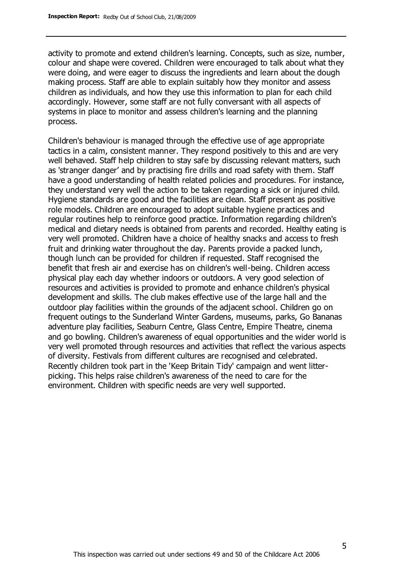activity to promote and extend children's learning. Concepts, such as size, number, colour and shape were covered. Children were encouraged to talk about what they were doing, and were eager to discuss the ingredients and learn about the dough making process. Staff are able to explain suitably how they monitor and assess children as individuals, and how they use this information to plan for each child accordingly. However, some staff are not fully conversant with all aspects of systems in place to monitor and assess children's learning and the planning process.

Children's behaviour is managed through the effective use of age appropriate tactics in a calm, consistent manner. They respond positively to this and are very well behaved. Staff help children to stay safe by discussing relevant matters, such as 'stranger danger' and by practising fire drills and road safety with them. Staff have a good understanding of health related policies and procedures. For instance, they understand very well the action to be taken regarding a sick or injured child. Hygiene standards are good and the facilities are clean. Staff present as positive role models. Children are encouraged to adopt suitable hygiene practices and regular routines help to reinforce good practice. Information regarding children's medical and dietary needs is obtained from parents and recorded. Healthy eating is very well promoted. Children have a choice of healthy snacks and access to fresh fruit and drinking water throughout the day. Parents provide a packed lunch, though lunch can be provided for children if requested. Staff recognised the benefit that fresh air and exercise has on children's well-being. Children access physical play each day whether indoors or outdoors. A very good selection of resources and activities is provided to promote and enhance children's physical development and skills. The club makes effective use of the large hall and the outdoor play facilities within the grounds of the adjacent school. Children go on frequent outings to the Sunderland Winter Gardens, museums, parks, Go Bananas adventure play facilities, Seaburn Centre, Glass Centre, Empire Theatre, cinema and go bowling. Children's awareness of equal opportunities and the wider world is very well promoted through resources and activities that reflect the various aspects of diversity. Festivals from different cultures are recognised and celebrated. Recently children took part in the 'Keep Britain Tidy' campaign and went litterpicking. This helps raise children's awareness of the need to care for the environment. Children with specific needs are very well supported.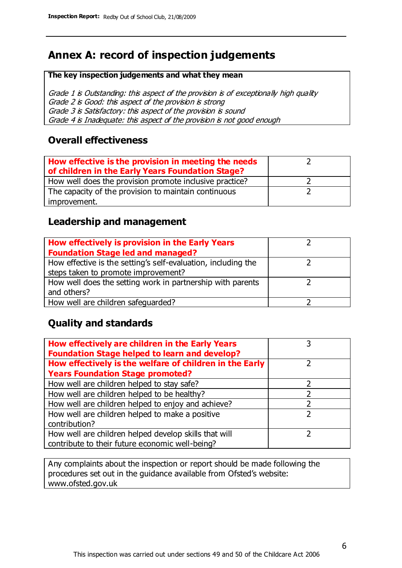# **Annex A: record of inspection judgements**

#### **The key inspection judgements and what they mean**

Grade 1 is Outstanding: this aspect of the provision is of exceptionally high quality Grade 2 is Good: this aspect of the provision is strong Grade 3 is Satisfactory: this aspect of the provision is sound Grade 4 is Inadequate: this aspect of the provision is not good enough

#### **Overall effectiveness**

| How effective is the provision in meeting the needs<br>of children in the Early Years Foundation Stage? |  |
|---------------------------------------------------------------------------------------------------------|--|
| How well does the provision promote inclusive practice?                                                 |  |
| The capacity of the provision to maintain continuous                                                    |  |
| improvement.                                                                                            |  |

#### **Leadership and management**

| How effectively is provision in the Early Years               |  |
|---------------------------------------------------------------|--|
| <b>Foundation Stage led and managed?</b>                      |  |
| How effective is the setting's self-evaluation, including the |  |
| steps taken to promote improvement?                           |  |
| How well does the setting work in partnership with parents    |  |
| and others?                                                   |  |
| How well are children safequarded?                            |  |

#### **Quality and standards**

| How effectively are children in the Early Years<br><b>Foundation Stage helped to learn and develop?</b> |   |
|---------------------------------------------------------------------------------------------------------|---|
| How effectively is the welfare of children in the Early                                                 | ר |
| <b>Years Foundation Stage promoted?</b>                                                                 |   |
| How well are children helped to stay safe?                                                              |   |
| How well are children helped to be healthy?                                                             |   |
| How well are children helped to enjoy and achieve?                                                      |   |
| How well are children helped to make a positive                                                         | 2 |
| contribution?                                                                                           |   |
| How well are children helped develop skills that will                                                   |   |
| contribute to their future economic well-being?                                                         |   |

Any complaints about the inspection or report should be made following the procedures set out in the guidance available from Ofsted's website: www.ofsted.gov.uk